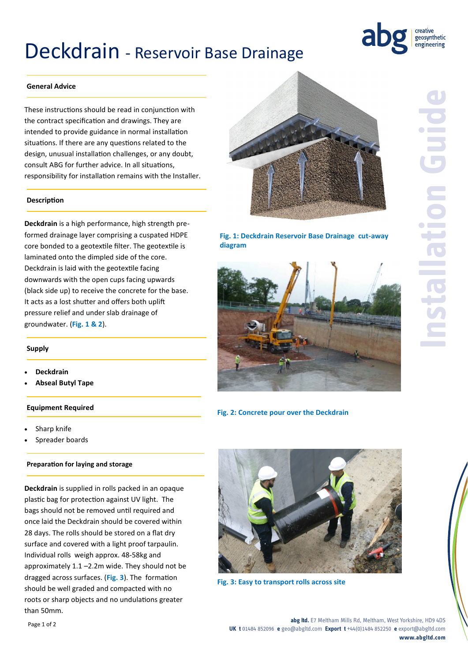## Deckdrain - Reservoir Base Drainage



## **General Advice**

These instructions should be read in conjunction with the contract specification and drawings. They are intended to provide guidance in normal installation situations. If there are any questions related to the design, unusual installation challenges, or any doubt, consult ABG for further advice. In all situations, responsibility for installation remains with the Installer.

#### **Description**

**Deckdrain** is a high performance, high strength preformed drainage layer comprising a cuspated HDPE core bonded to a geotextile filter. The geotextile is laminated onto the dimpled side of the core. Deckdrain is laid with the geotextile facing downwards with the open cups facing upwards (black side up) to receive the concrete for the base. It acts as a lost shutter and offers both uplift pressure relief and under slab drainage of groundwater. (**Fig. 1 & 2**).

## **Supply**

- **Deckdrain**
- **Abseal Butyl Tape**

#### **Equipment Required**

- Sharp knife
- Spreader boards

### **Preparation for laying and storage**

**Deckdrain** is supplied in rolls packed in an opaque plastic bag for protection against UV light. The bags should not be removed until required and once laid the Deckdrain should be covered within 28 days. The rolls should be stored on a flat dry surface and covered with a light proof tarpaulin. Individual rolls weigh approx. 48-58kg and approximately 1.1 –2.2m wide. They should not be dragged across surfaces. (**Fig. 3**). The formation should be well graded and compacted with no roots or sharp objects and no undulations greater than 50mm.



**Fig. 1: Deckdrain Reservoir Base Drainage cut-away diagram**



**Fig. 2: Concrete pour over the Deckdrain**



**Fig. 3: Easy to transport rolls across site**